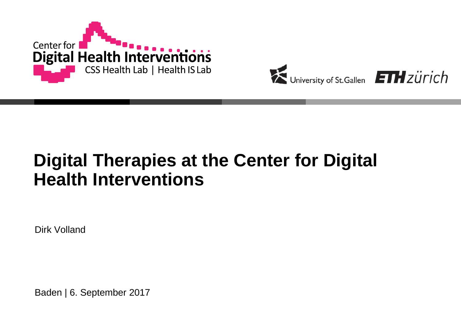



## **Digital Therapies at the Center for Digital Health Interventions**

Dirk Volland

Baden | 6. September 2017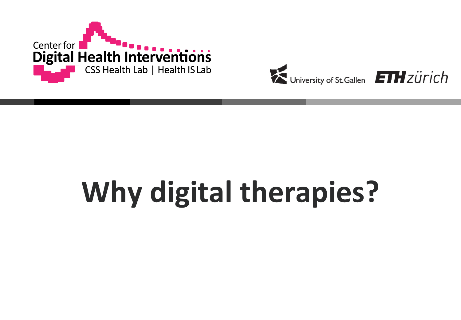



# **Why digital therapies?**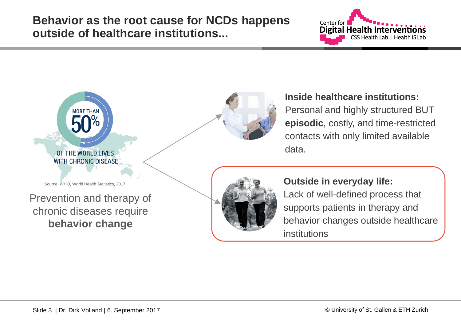**Behavior as the root cause for NCDs happens outside of healthcare institutions...**



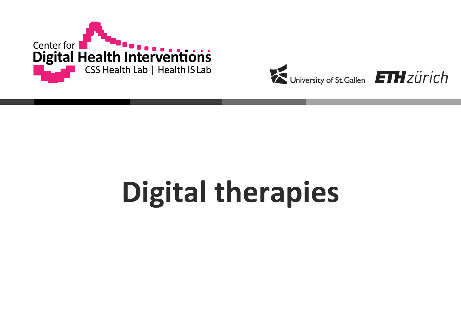



## **Digital therapies**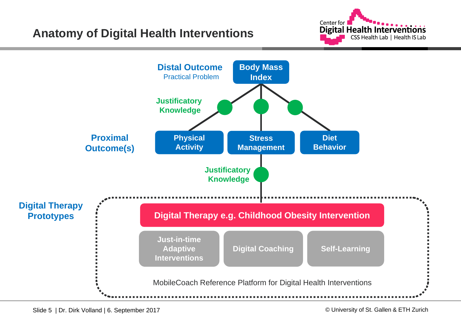

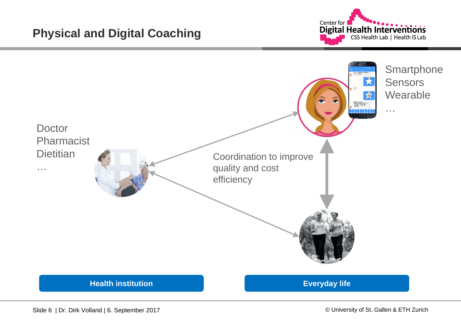

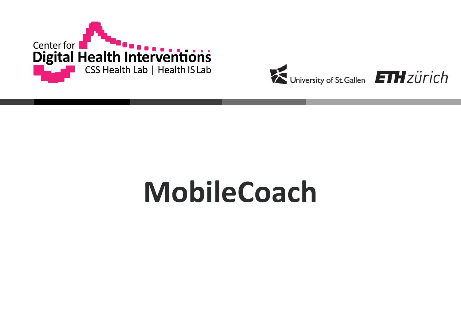



## **MobileCoach**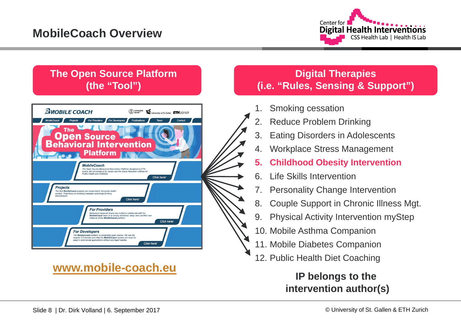

#### **The Open Source Platform (the "Tool")**



### **[www.mobile-coach.eu](http://www.mobile-coach.eu/)**

#### **Digital Therapies (i.e. "Rules, Sensing & Support")**

- Smoking cessation
- **Reduce Problem Drinking**
- 3. Eating Disorders in Adolescents
- 4. Workplace Stress Management
- **5. Childhood Obesity Intervention**
- 6. Life Skills Intervention
- 7. Personality Change Intervention
- 8. Couple Support in Chronic Illness Mgt.
- 9. Physical Activity Intervention myStep
- 10. Mobile Asthma Companion
- 11. Mobile Diabetes Companion
- 12. Public Health Diet Coaching

### **IP belongs to the intervention author(s)**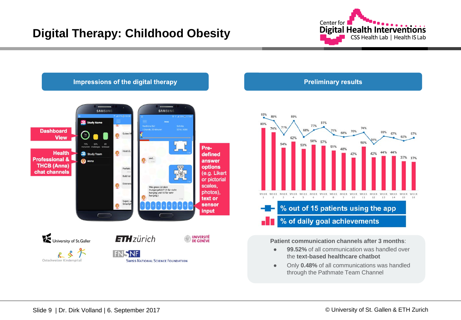



#### **Preliminary results**



#### **Patient communication channels after 3 months**:

- **99.52%** of all communication was handled over the **text-based healthcare chatbot**
- Only **0.48%** of all communications was handled through the Pathmate Team Channel